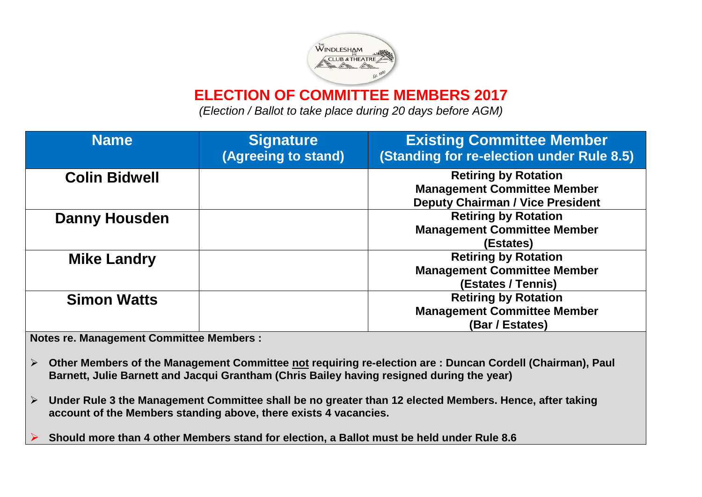

**ELECTION OF COMMITTEE MEMBERS 2017**

*(Election / Ballot to take place during 20 days before AGM)*

| <b>Name</b>          | <b>Signature</b>    | <b>Existing Committee Member</b>          |  |
|----------------------|---------------------|-------------------------------------------|--|
|                      | (Agreeing to stand) | (Standing for re-election under Rule 8.5) |  |
| <b>Colin Bidwell</b> |                     | <b>Retiring by Rotation</b>               |  |
|                      |                     | <b>Management Committee Member</b>        |  |
|                      |                     | <b>Deputy Chairman / Vice President</b>   |  |
| <b>Danny Housden</b> |                     | <b>Retiring by Rotation</b>               |  |
|                      |                     | <b>Management Committee Member</b>        |  |
|                      |                     | (Estates)                                 |  |
| <b>Mike Landry</b>   |                     | <b>Retiring by Rotation</b>               |  |
|                      |                     | <b>Management Committee Member</b>        |  |
|                      |                     | (Estates / Tennis)                        |  |
| <b>Simon Watts</b>   |                     | <b>Retiring by Rotation</b>               |  |
|                      |                     | <b>Management Committee Member</b>        |  |
|                      |                     | (Bar / Estates)                           |  |

**Notes re. Management Committee Members :** 

- **Other Members of the Management Committee not requiring re-election are : Duncan Cordell (Chairman), Paul Barnett, Julie Barnett and Jacqui Grantham (Chris Bailey having resigned during the year)**
- **Under Rule 3 the Management Committee shall be no greater than 12 elected Members. Hence, after taking account of the Members standing above, there exists 4 vacancies.**

**Should more than 4 other Members stand for election, a Ballot must be held under Rule 8.6**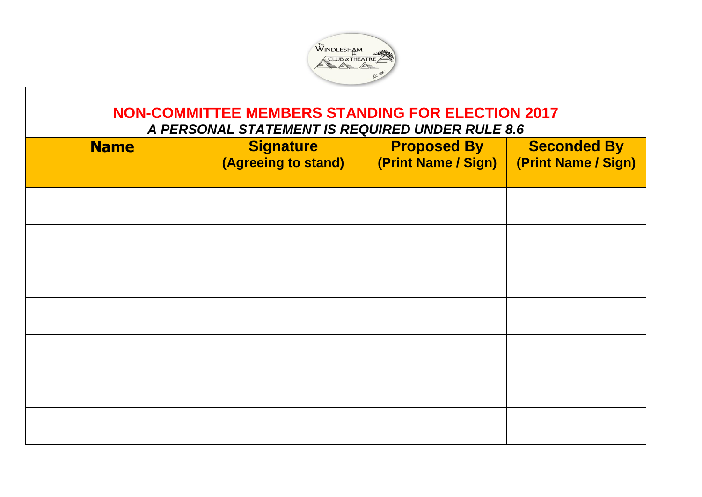

## **NON-COMMITTEE MEMBERS STANDING FOR ELECTION 2017** *A PERSONAL STATEMENT IS REQUIRED UNDER RULE 8.6*

| <b>Name</b> | <b>Signature</b><br>(Agreeing to stand) | <b>Proposed By</b><br>(Print Name / Sign) | <b>Seconded By</b><br>(Print Name / Sign) |
|-------------|-----------------------------------------|-------------------------------------------|-------------------------------------------|
|             |                                         |                                           |                                           |
|             |                                         |                                           |                                           |
|             |                                         |                                           |                                           |
|             |                                         |                                           |                                           |
|             |                                         |                                           |                                           |
|             |                                         |                                           |                                           |
|             |                                         |                                           |                                           |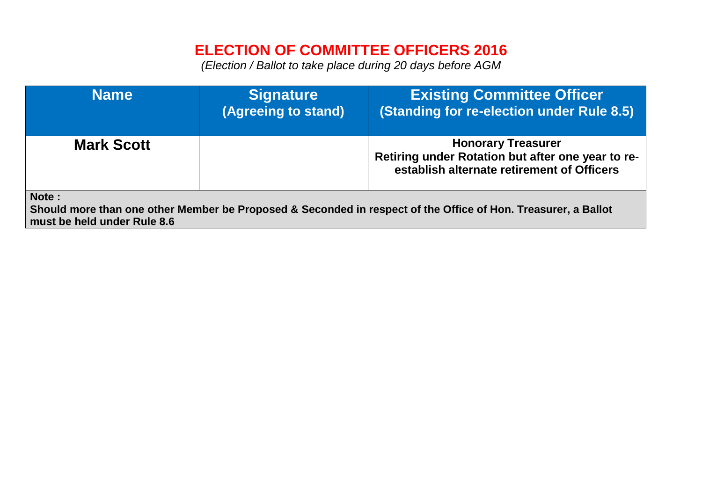## **ELECTION OF COMMITTEE OFFICERS 2016**

*(Election / Ballot to take place during 20 days before AGM*

| <b>Name</b>                                                                                                                                           | <b>Signature</b><br>(Agreeing to stand) | <b>Existing Committee Officer</b><br>(Standing for re-election under Rule 8.5)                                               |  |  |  |
|-------------------------------------------------------------------------------------------------------------------------------------------------------|-----------------------------------------|------------------------------------------------------------------------------------------------------------------------------|--|--|--|
| <b>Mark Scott</b>                                                                                                                                     |                                         | <b>Honorary Treasurer</b><br>Retiring under Rotation but after one year to re-<br>establish alternate retirement of Officers |  |  |  |
| Note:<br>Should more than one other Member be Proposed & Seconded in respect of the Office of Hon. Treasurer, a Ballot<br>must be held under Rule 8.6 |                                         |                                                                                                                              |  |  |  |